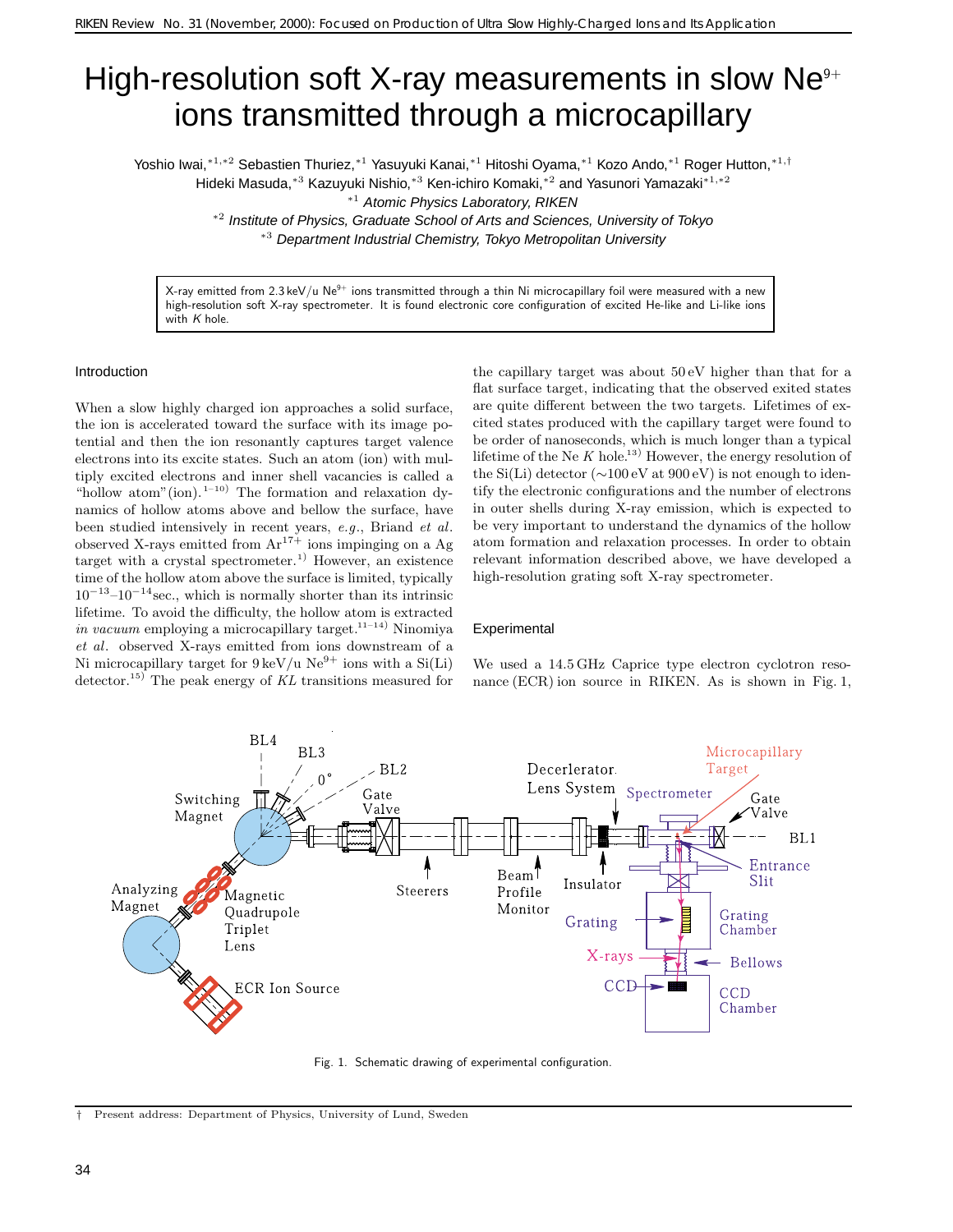# High-resolution soft X-ray measurements in slow  $Ne<sup>9+</sup>$ ions transmitted through a microcapillary

Yoshio Iwai,∗1*,*∗<sup>2</sup> Sebastien Thuriez,∗<sup>1</sup> Yasuyuki Kanai,∗<sup>1</sup> Hitoshi Oyama,∗<sup>1</sup> Kozo Ando,∗<sup>1</sup> Roger Hutton,∗1*,*†

Hideki Masuda,∗<sup>3</sup> Kazuyuki Nishio,∗<sup>3</sup> Ken-ichiro Komaki,∗<sup>2</sup> and Yasunori Yamazaki∗1*,*∗<sup>2</sup>

<sup>∗</sup><sup>1</sup> Atomic Physics Laboratory, RIKEN

<sup>∗</sup><sup>2</sup> Institute of Physics, Graduate School of Arts and Sciences, University of Tokyo <sup>∗</sup><sup>3</sup> Department Industrial Chemistry, Tokyo Metropolitan University

X-ray emitted from 2.3 keV/u Ne $^{9+}$  ions transmitted through a thin Ni microcapillary foil were measured with a new high-resolution soft X-ray spectrometer. It is found electronic core configuration of excited He-like and Li-like ions with *K* hole.

#### Introduction

When a slow highly charged ion approaches a solid surface, the ion is accelerated toward the surface with its image potential and then the ion resonantly captures target valence electrons into its excite states. Such an atom (ion) with multiply excited electrons and inner shell vacancies is called a "hollow atom" (ion).<sup>1–10)</sup> The formation and relaxation dynamics of hollow atoms above and bellow the surface, have been studied intensively in recent years, *e.g*., Briand *et al*. observed X-rays emitted from  $Ar^{17+}$  ions impinging on a Ag target with a crystal spectrometer.<sup>1)</sup> However, an existence time of the hollow atom above the surface is limited, typically  $10^{-13}$ – $10^{-14}$  sec., which is normally shorter than its intrinsic lifetime. To avoid the difficulty, the hollow atom is extracted *in vacuum* employing a microcapillary target.<sup>11–14)</sup> Ninomiya *et al*. observed X-rays emitted from ions downstream of a Ni microcapillary target for  $9 \text{ keV/u}$  Ne<sup>9+</sup> ions with a Si(Li) detector.<sup>15</sup>) The peak energy of *KL* transitions measured for

the capillary target was about 50 eV higher than that for a flat surface target, indicating that the observed exited states are quite different between the two targets. Lifetimes of excited states produced with the capillary target were found to be order of nanoseconds, which is much longer than a typical lifetime of the Ne  $K$  hole.<sup>13)</sup> However, the energy resolution of the Si(Li) detector (∼100 eV at 900 eV) is not enough to identify the electronic configurations and the number of electrons in outer shells during X-ray emission, which is expected to be very important to understand the dynamics of the hollow atom formation and relaxation processes. In order to obtain relevant information described above, we have developed a high-resolution grating soft X-ray spectrometer.

### Experimental





Fig. 1. Schematic drawing of experimental configuration.

*<sup>†</sup>* Present address: Department of Physics, University of Lund, Sweden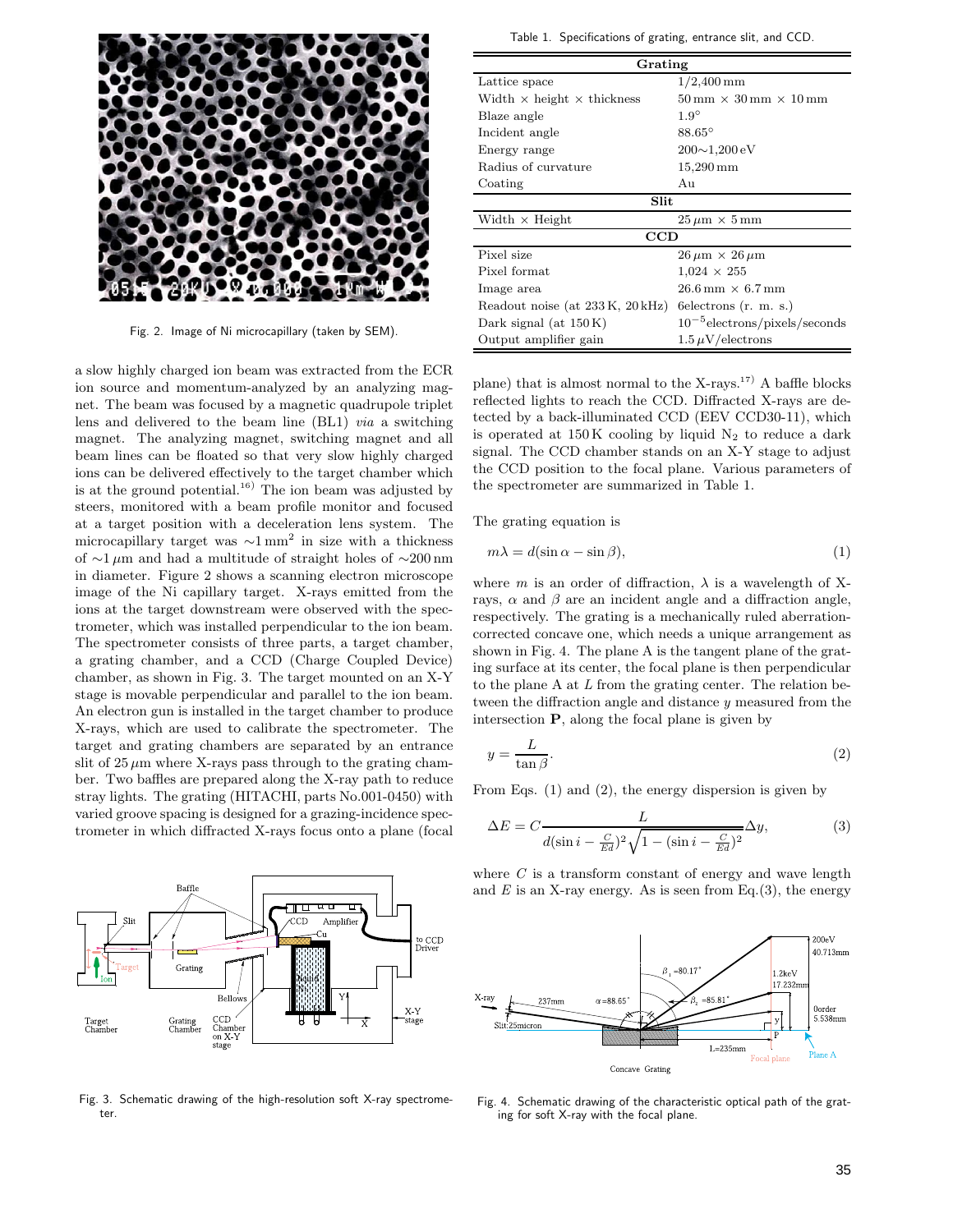

Fig. 2. Image of Ni microcapillary (taken by SEM).

a slow highly charged ion beam was extracted from the ECR ion source and momentum-analyzed by an analyzing magnet. The beam was focused by a magnetic quadrupole triplet lens and delivered to the beam line (BL1) *via* a switching magnet. The analyzing magnet, switching magnet and all beam lines can be floated so that very slow highly charged ions can be delivered effectively to the target chamber which is at the ground potential.<sup>16)</sup> The ion beam was adjusted by steers, monitored with a beam profile monitor and focused at a target position with a deceleration lens system. The microcapillary target was  $\sim 1 \text{ mm}^2$  in size with a thickness of <sup>∼</sup><sup>1</sup> <sup>µ</sup>m and had a multitude of straight holes of <sup>∼</sup>200 nm in diameter. Figure 2 shows a scanning electron microscope image of the Ni capillary target. X-rays emitted from the ions at the target downstream were observed with the spectrometer, which was installed perpendicular to the ion beam. The spectrometer consists of three parts, a target chamber, a grating chamber, and a CCD (Charge Coupled Device) chamber, as shown in Fig. 3. The target mounted on an X-Y stage is movable perpendicular and parallel to the ion beam. An electron gun is installed in the target chamber to produce X-rays, which are used to calibrate the spectrometer. The target and grating chambers are separated by an entrance slit of  $25 \mu m$  where X-rays pass through to the grating chamber. Two baffles are prepared along the X-ray path to reduce stray lights. The grating (HITACHI, parts No.001-0450) with varied groove spacing is designed for a grazing-incidence spectrometer in which diffracted X-rays focus onto a plane (focal



Fig. 3. Schematic drawing of the high-resolution soft X-ray spectrometer.

Table 1. Specifications of grating, entrance slit, and CCD.

| Grating                                                      |                                                                    |  |  |  |
|--------------------------------------------------------------|--------------------------------------------------------------------|--|--|--|
| Lattice space                                                | $1/2,400 \,\mathrm{mm}$                                            |  |  |  |
| Width $\times$ height $\times$ thickness                     | $50 \,\mathrm{mm} \times 30 \,\mathrm{mm} \times 10 \,\mathrm{mm}$ |  |  |  |
| Blaze angle                                                  | $1.9^\circ$                                                        |  |  |  |
| Incident angle                                               | $88.65^\circ$                                                      |  |  |  |
| Energy range                                                 | $200 \sim 1,200 \,\mathrm{eV}$                                     |  |  |  |
| Radius of curvature                                          | $15,290 \,\mathrm{mm}$                                             |  |  |  |
| Coating                                                      | Au                                                                 |  |  |  |
| Slit                                                         |                                                                    |  |  |  |
| Width $\times$ Height<br>$25 \,\mu m \times 5 \,\mathrm{mm}$ |                                                                    |  |  |  |
| CCD                                                          |                                                                    |  |  |  |
| Pixel size<br>$26 \mu m \times 26 \mu m$                     |                                                                    |  |  |  |
| Pixel format<br>$1,024 \times 255$                           |                                                                    |  |  |  |
| Image area                                                   | $26.6 \,\mathrm{mm} \times 6.7 \,\mathrm{mm}$                      |  |  |  |
| Readout noise (at 233 K, 20 kHz)                             | $6$ electrons $(r. m. s.)$                                         |  |  |  |
| Dark signal (at $150K$ )                                     | $10^{-5}$ electrons/pixels/seconds                                 |  |  |  |
| Output amplifier gain                                        | $1.5 \,\mu\mathrm{V/electrons}$                                    |  |  |  |

plane) that is almost normal to the  $X-rays.<sup>17</sup>$  A baffle blocks reflected lights to reach the CCD. Diffracted X-rays are detected by a back-illuminated CCD (EEV CCD30-11), which is operated at  $150K$  cooling by liquid  $N_2$  to reduce a dark signal. The CCD chamber stands on an X-Y stage to adjust the CCD position to the focal plane. Various parameters of the spectrometer are summarized in Table 1.

The grating equation is

$$
m\lambda = d(\sin \alpha - \sin \beta),\tag{1}
$$

where  $m$  is an order of diffraction,  $\lambda$  is a wavelength of Xrays,  $\alpha$  and  $\beta$  are an incident angle and a diffraction angle, respectively. The grating is a mechanically ruled aberrationcorrected concave one, which needs a unique arrangement as shown in Fig. 4. The plane A is the tangent plane of the grating surface at its center, the focal plane is then perpendicular to the plane A at *L* from the grating center. The relation between the diffraction angle and distance *y* measured from the intersection **P**, along the focal plane is given by

$$
y = \frac{L}{\tan \beta}.\tag{2}
$$

From Eqs. (1) and (2), the energy dispersion is given by

$$
\Delta E = C \frac{L}{d(\sin i - \frac{C}{Ed})^2 \sqrt{1 - (\sin i - \frac{C}{Ed})^2}} \Delta y,\tag{3}
$$

where *C* is a transform constant of energy and wave length and  $E$  is an X-ray energy. As is seen from Eq.(3), the energy



Fig. 4. Schematic drawing of the characteristic optical path of the grating for soft X-ray with the focal plane.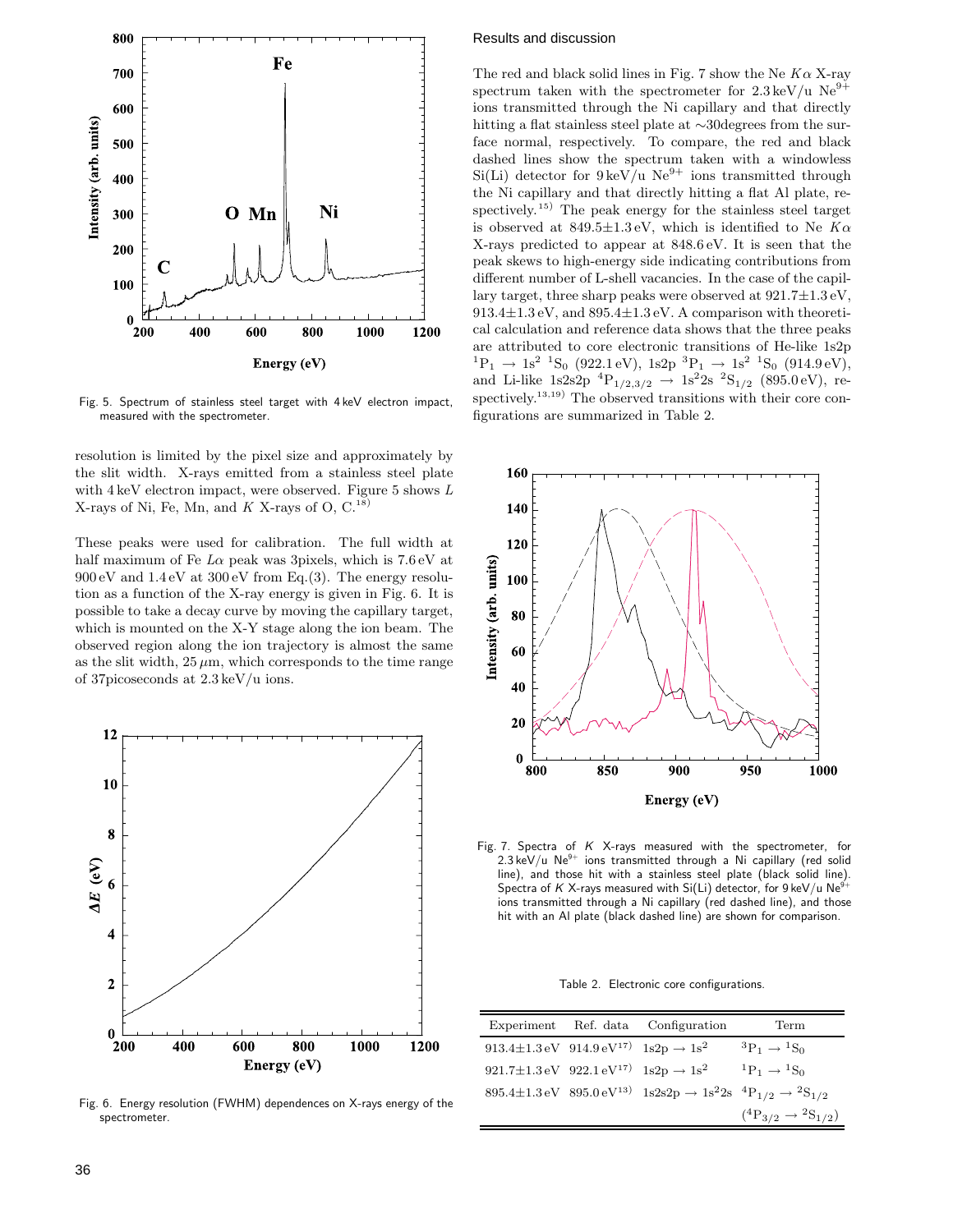

Fig. 5. Spectrum of stainless steel target with 4 keV electron impact, measured with the spectrometer.

resolution is limited by the pixel size and approximately by the slit width. X-rays emitted from a stainless steel plate with 4 keV electron impact, were observed. Figure 5 shows *L* X-rays of Ni, Fe, Mn, and  $K$  X-rays of O, C.<sup>18)</sup>

These peaks were used for calibration. The full width at half maximum of Fe *L*<sup>α</sup> peak was 3pixels, which is 7.6 eV at  $900 \,\mathrm{eV}$  and  $1.4 \,\mathrm{eV}$  at  $300 \,\mathrm{eV}$  from Eq.(3). The energy resolution as a function of the X-ray energy is given in Fig. 6. It is possible to take a decay curve by moving the capillary target, which is mounted on the X-Y stage along the ion beam. The observed region along the ion trajectory is almost the same as the slit width,  $25 \mu m$ , which corresponds to the time range of 37picoseconds at 2.3 keV/u ions.



Fig. 6. Energy resolution (FWHM) dependences on X-rays energy of the spectrometer.

### Results and discussion

The red and black solid lines in Fig. 7 show the Ne *K*<sup>α</sup> X-ray spectrum taken with the spectrometer for  $2.3 \,\text{keV}/\text{u}$  Ne<sup>9+</sup> ions transmitted through the Ni capillary and that directly hitting a flat stainless steel plate at ∼30degrees from the surface normal, respectively. To compare, the red and black dashed lines show the spectrum taken with a windowless  $Si(Li)$  detector for  $9 \text{ keV/u}$  Ne<sup>9+</sup> ions transmitted through the Ni capillary and that directly hitting a flat Al plate, respectively.<sup>15)</sup> The peak energy for the stainless steel target is observed at 849.5±1.3 eV, which is identified to Ne *K*<sup>α</sup> X-rays predicted to appear at 848.6 eV. It is seen that the peak skews to high-energy side indicating contributions from different number of L-shell vacancies. In the case of the capillary target, three sharp peaks were observed at  $921.7 \pm 1.3 \text{ eV}$ ,  $913.4\pm1.3$  eV, and  $895.4\pm1.3$  eV. A comparison with theoretical calculation and reference data shows that the three peaks are attributed to core electronic transitions of He-like 1s2p  ${}^{1}P_{1} \rightarrow 1s^{2} {}^{1}S_{0}$  (922.1 eV),  $1s^{2}P_{1} \rightarrow 1s^{2} {}^{1}S_{0}$  (914.9 eV), and Li-like  $1s2s2p \frac{4}{P_{1/2,3/2}} \rightarrow 1s^22s \frac{2S_{1/2}}{S_{1/2}}$  (895.0 eV), respectively.<sup>13,19)</sup> The observed transitions with their core configurations are summarized in Table 2.



Fig. 7. Spectra of *K* X-rays measured with the spectrometer, for  $2.3 \text{ keV/u}$  Ne<sup>9+</sup> ions transmitted through a Ni capillary (red solid line), and those hit with a stainless steel plate (black solid line). Spectra of *K* X-rays measured with Si(Li) detector, for 9 keV/u Ne<sup>9</sup> ions transmitted through a Ni capillary (red dashed line), and those hit with an Al plate (black dashed line) are shown for comparison.

Table 2. Electronic core configurations.

|                                                                               | Experiment Ref. data Configuration                                                                                                                                                                         | Term                                |
|-------------------------------------------------------------------------------|------------------------------------------------------------------------------------------------------------------------------------------------------------------------------------------------------------|-------------------------------------|
| 913.4 $\pm$ 1.3 eV 914.9 eV <sup>17)</sup> 1s2p $\rightarrow$ 1s <sup>2</sup> |                                                                                                                                                                                                            | ${}^3P_1 \rightarrow {}^1S_0$       |
| 921.7±1.3 eV 922.1 eV <sup>17)</sup> $1s2p \rightarrow 1s^2$                  |                                                                                                                                                                                                            | ${}^1P_1 \rightarrow {}^1S_0$       |
|                                                                               | $895.4 \pm 1.3 \,\mathrm{eV} \  \  \, 895.0 \,\mathrm{eV^{13}} \  \  \, 1\mathrm{s}2\mathrm{s}2\mathrm{p} \rightarrow 1\mathrm{s}^22\mathrm{s} \  \  \, ^4\mathrm{P}_{1/2} \rightarrow \mathrm{^2S}_{1/2}$ |                                     |
|                                                                               |                                                                                                                                                                                                            | $(^4P_{3/2} \rightarrow ^2S_{1/2})$ |